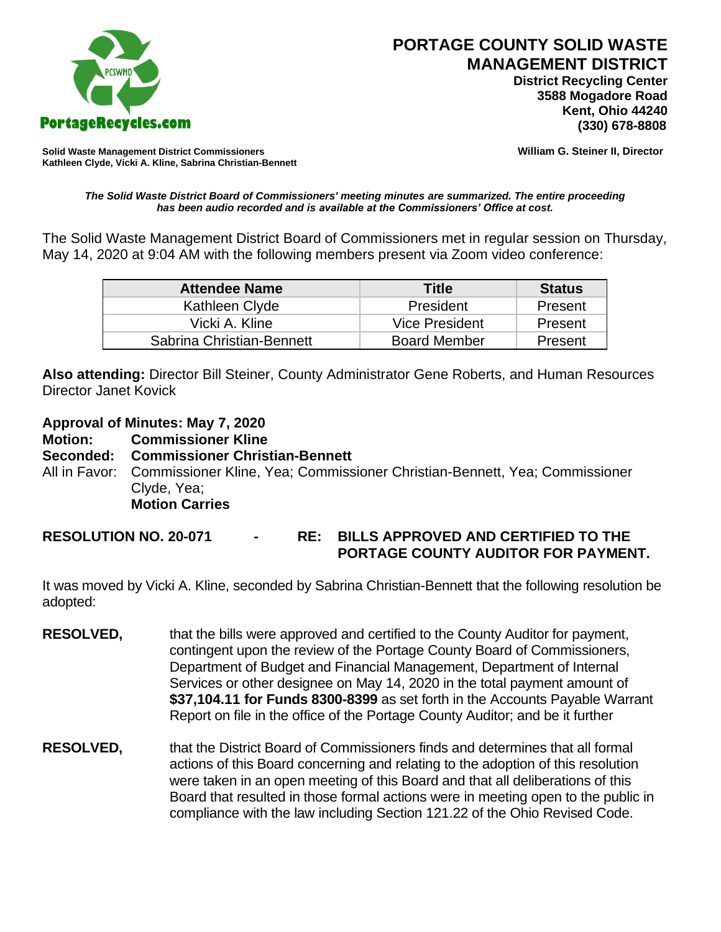

 **District Recycling Center 3588 Mogadore Road Kent, Ohio 44240**

**Solid Waste Management District Commissioners William G. Steiner II, Director Kathleen Clyde, Vicki A. Kline, Sabrina Christian-Bennett** 

## *The Solid Waste District Board of Commissioners' meeting minutes are summarized. The entire proceeding has been audio recorded and is available at the Commissioners' Office at cost.*

The Solid Waste Management District Board of Commissioners met in regular session on Thursday, May 14, 2020 at 9:04 AM with the following members present via Zoom video conference:

| <b>Attendee Name</b>      | Title               | <b>Status</b> |
|---------------------------|---------------------|---------------|
| Kathleen Clyde            | President           | Present       |
| Vicki A. Kline            | Vice President      | Present       |
| Sabrina Christian-Bennett | <b>Board Member</b> | Present       |

**Also attending:** Director Bill Steiner, County Administrator Gene Roberts, and Human Resources Director Janet Kovick

**Approval of Minutes: May 7, 2020**

**Motion: Commissioner Kline**

**Seconded: Commissioner Christian-Bennett**

All in Favor: Commissioner Kline, Yea; Commissioner Christian-Bennett, Yea; Commissioner Clyde, Yea; **Motion Carries**

**RESOLUTION NO. 20-071 - RE: BILLS APPROVED AND CERTIFIED TO THE PORTAGE COUNTY AUDITOR FOR PAYMENT.** 

It was moved by Vicki A. Kline, seconded by Sabrina Christian-Bennett that the following resolution be adopted:

- **RESOLVED,** that the bills were approved and certified to the County Auditor for payment, contingent upon the review of the Portage County Board of Commissioners, Department of Budget and Financial Management, Department of Internal Services or other designee on May 14, 2020 in the total payment amount of **\$37,104.11 for Funds 8300-8399** as set forth in the Accounts Payable Warrant Report on file in the office of the Portage County Auditor; and be it further
- **RESOLVED,** that the District Board of Commissioners finds and determines that all formal actions of this Board concerning and relating to the adoption of this resolution were taken in an open meeting of this Board and that all deliberations of this Board that resulted in those formal actions were in meeting open to the public in compliance with the law including Section 121.22 of the Ohio Revised Code.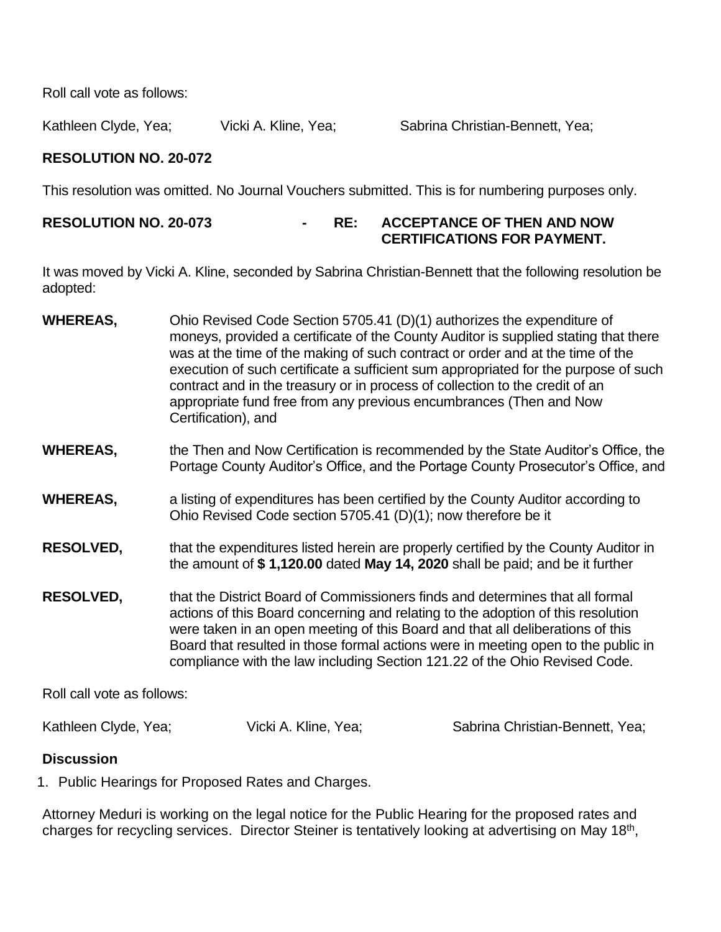Roll call vote as follows:

Kathleen Clyde, Yea;  $V$ icki A. Kline, Yea; Sabrina Christian-Bennett, Yea;

## **RESOLUTION NO. 20-072**

This resolution was omitted. No Journal Vouchers submitted. This is for numbering purposes only.

## **RESOLUTION NO. 20-073 - RE: ACCEPTANCE OF THEN AND NOW CERTIFICATIONS FOR PAYMENT.**

It was moved by Vicki A. Kline, seconded by Sabrina Christian-Bennett that the following resolution be adopted:

- **WHEREAS,** Ohio Revised Code Section 5705.41 (D)(1) authorizes the expenditure of moneys, provided a certificate of the County Auditor is supplied stating that there was at the time of the making of such contract or order and at the time of the execution of such certificate a sufficient sum appropriated for the purpose of such contract and in the treasury or in process of collection to the credit of an appropriate fund free from any previous encumbrances (Then and Now Certification), and
- **WHEREAS,** the Then and Now Certification is recommended by the State Auditor's Office, the Portage County Auditor's Office, and the Portage County Prosecutor's Office, and
- **WHEREAS,** a listing of expenditures has been certified by the County Auditor according to Ohio Revised Code section 5705.41 (D)(1); now therefore be it
- **RESOLVED,** that the expenditures listed herein are properly certified by the County Auditor in the amount of **\$ 1,120.00** dated **May 14, 2020** shall be paid; and be it further
- **RESOLVED,** that the District Board of Commissioners finds and determines that all formal actions of this Board concerning and relating to the adoption of this resolution were taken in an open meeting of this Board and that all deliberations of this Board that resulted in those formal actions were in meeting open to the public in compliance with the law including Section 121.22 of the Ohio Revised Code.

Roll call vote as follows:

Kathleen Clyde, Yea; The Vicki A. Kline, Yea; The Sabrina Christian-Bennett, Yea;

## **Discussion**

1. Public Hearings for Proposed Rates and Charges.

Attorney Meduri is working on the legal notice for the Public Hearing for the proposed rates and charges for recycling services. Director Steiner is tentatively looking at advertising on May 18<sup>th</sup>,